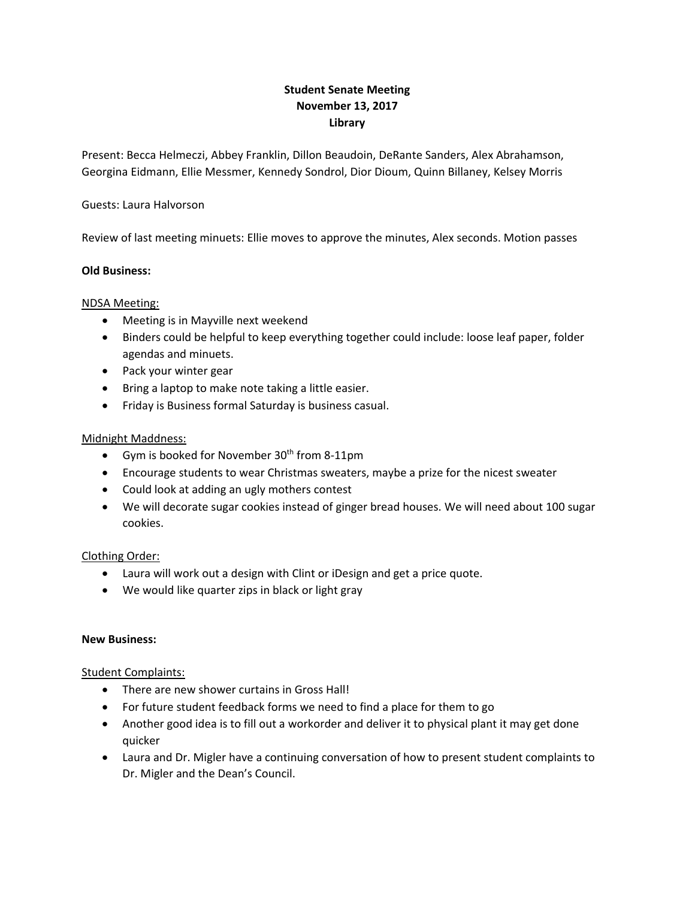# **Student Senate Meeting November 13, 2017 Library**

Present: Becca Helmeczi, Abbey Franklin, Dillon Beaudoin, DeRante Sanders, Alex Abrahamson, Georgina Eidmann, Ellie Messmer, Kennedy Sondrol, Dior Dioum, Quinn Billaney, Kelsey Morris

#### Guests: Laura Halvorson

Review of last meeting minuets: Ellie moves to approve the minutes, Alex seconds. Motion passes

## **Old Business:**

## NDSA Meeting:

- Meeting is in Mayville next weekend
- Binders could be helpful to keep everything together could include: loose leaf paper, folder agendas and minuets.
- Pack your winter gear
- Bring a laptop to make note taking a little easier.
- Friday is Business formal Saturday is business casual.

## Midnight Maddness:

- Gym is booked for November  $30<sup>th</sup>$  from 8-11pm
- Encourage students to wear Christmas sweaters, maybe a prize for the nicest sweater
- Could look at adding an ugly mothers contest
- We will decorate sugar cookies instead of ginger bread houses. We will need about 100 sugar cookies.

## Clothing Order:

- Laura will work out a design with Clint or iDesign and get a price quote.
- We would like quarter zips in black or light gray

#### **New Business:**

#### Student Complaints:

- There are new shower curtains in Gross Hall!
- For future student feedback forms we need to find a place for them to go
- Another good idea is to fill out a workorder and deliver it to physical plant it may get done quicker
- Laura and Dr. Migler have a continuing conversation of how to present student complaints to Dr. Migler and the Dean's Council.